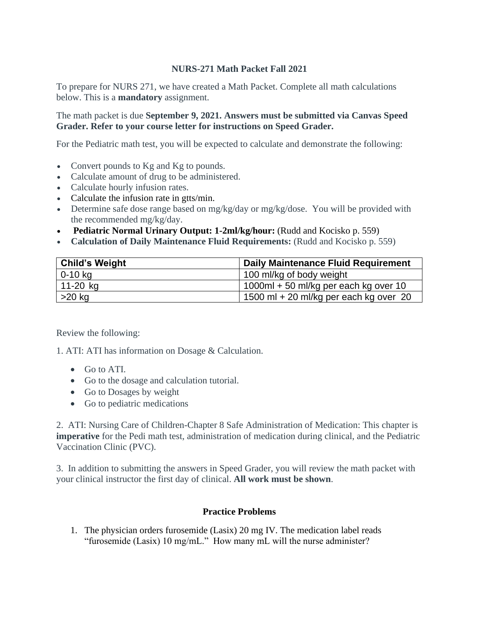## **NURS-271 Math Packet Fall 2021**

To prepare for NURS 271, we have created a Math Packet. Complete all math calculations below. This is a **mandatory** assignment.

## The math packet is due **September 9, 2021. Answers must be submitted via Canvas Speed Grader. Refer to your course letter for instructions on Speed Grader.**

For the Pediatric math test, you will be expected to calculate and demonstrate the following:

- Convert pounds to Kg and Kg to pounds.
- Calculate amount of drug to be administered.
- Calculate hourly infusion rates.
- Calculate the infusion rate in gtts/min.
- Determine safe dose range based on mg/kg/day or mg/kg/dose. You will be provided with the recommended mg/kg/day.
- **Pediatric Normal Urinary Output: 1-2ml/kg/hour:** (Rudd and Kocisko p. 559)
- **Calculation of Daily Maintenance Fluid Requirements:** (Rudd and Kocisko p. 559)

| <b>Child's Weight</b> | Daily Maintenance Fluid Requirement      |
|-----------------------|------------------------------------------|
| $0 - 10$ kg           | 100 ml/kg of body weight                 |
| 11-20 kg              | $1000$ ml + 50 ml/kg per each kg over 10 |
| $>20$ kg              | 1500 ml + 20 ml/kg per each kg over 20   |

Review the following:

1. ATI: ATI has information on Dosage & Calculation.

- Go to ATI.
- Go to the dosage and calculation tutorial.
- Go to Dosages by weight
- Go to pediatric medications

2. ATI: Nursing Care of Children-Chapter 8 Safe Administration of Medication: This chapter is **imperative** for the Pedi math test, administration of medication during clinical, and the Pediatric Vaccination Clinic (PVC).

3. In addition to submitting the answers in Speed Grader, you will review the math packet with your clinical instructor the first day of clinical. **All work must be shown**.

## **Practice Problems**

1. The physician orders furosemide (Lasix) 20 mg IV. The medication label reads "furosemide (Lasix) 10 mg/mL." How many mL will the nurse administer?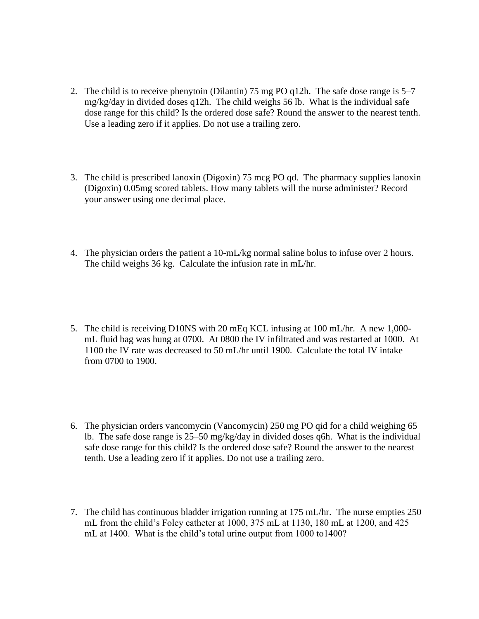- 2. The child is to receive phenytoin (Dilantin) 75 mg PO q12h. The safe dose range is 5–7 mg/kg/day in divided doses q12h. The child weighs 56 lb. What is the individual safe dose range for this child? Is the ordered dose safe? Round the answer to the nearest tenth. Use a leading zero if it applies. Do not use a trailing zero.
- 3. The child is prescribed lanoxin (Digoxin) 75 mcg PO qd. The pharmacy supplies lanoxin (Digoxin) 0.05mg scored tablets. How many tablets will the nurse administer? Record your answer using one decimal place.
- 4. The physician orders the patient a 10-mL/kg normal saline bolus to infuse over 2 hours. The child weighs 36 kg. Calculate the infusion rate in mL/hr.
- 5. The child is receiving D10NS with 20 mEq KCL infusing at 100 mL/hr. A new 1,000 mL fluid bag was hung at 0700. At 0800 the IV infiltrated and was restarted at 1000. At 1100 the IV rate was decreased to 50 mL/hr until 1900. Calculate the total IV intake from 0700 to 1900.
- 6. The physician orders vancomycin (Vancomycin) 250 mg PO qid for a child weighing 65 lb. The safe dose range is 25–50 mg/kg/day in divided doses q6h. What is the individual safe dose range for this child? Is the ordered dose safe? Round the answer to the nearest tenth. Use a leading zero if it applies. Do not use a trailing zero.
- 7. The child has continuous bladder irrigation running at 175 mL/hr. The nurse empties 250 mL from the child's Foley catheter at 1000, 375 mL at 1130, 180 mL at 1200, and 425 mL at 1400. What is the child's total urine output from 1000 to1400?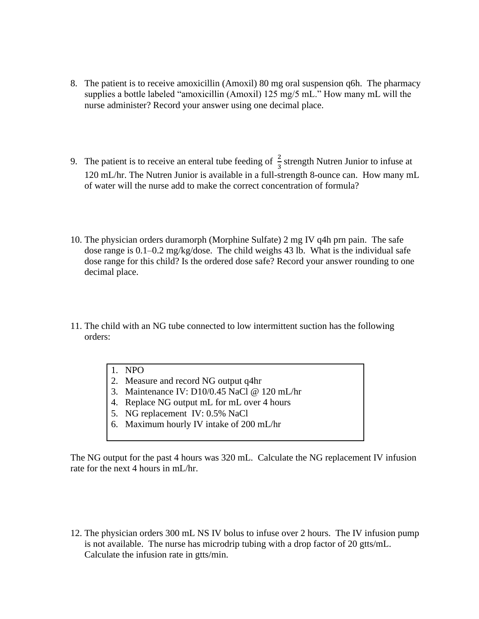- 8. The patient is to receive amoxicillin (Amoxil) 80 mg oral suspension q6h. The pharmacy supplies a bottle labeled "amoxicillin (Amoxil) 125 mg/5 mL." How many mL will the nurse administer? Record your answer using one decimal place.
- 9. The patient is to receive an enteral tube feeding of  $\frac{2}{3}$  strength Nutren Junior to infuse at 120 mL/hr. The Nutren Junior is available in a full-strength 8-ounce can. How many mL of water will the nurse add to make the correct concentration of formula?
- 10. The physician orders duramorph (Morphine Sulfate) 2 mg IV q4h prn pain. The safe dose range is 0.1–0.2 mg/kg/dose. The child weighs 43 lb. What is the individual safe dose range for this child? Is the ordered dose safe? Record your answer rounding to one decimal place.
- 11. The child with an NG tube connected to low intermittent suction has the following orders:
	- 1. NPO
	- 2. Measure and record NG output q4hr
	- 3. Maintenance IV: D10/0.45 NaCl @ 120 mL/hr
	- 4. Replace NG output mL for mL over 4 hours
	- 5. NG replacement IV: 0.5% NaCl
	- 6. Maximum hourly IV intake of 200 mL/hr

The NG output for the past 4 hours was 320 mL. Calculate the NG replacement IV infusion rate for the next 4 hours in mL/hr.

12. The physician orders 300 mL NS IV bolus to infuse over 2 hours. The IV infusion pump is not available. The nurse has microdrip tubing with a drop factor of 20 gtts/mL. Calculate the infusion rate in gtts/min.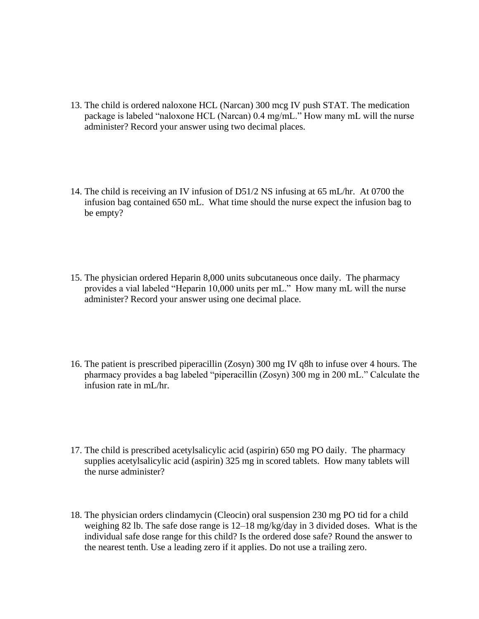- 13. The child is ordered naloxone HCL (Narcan) 300 mcg IV push STAT. The medication package is labeled "naloxone HCL (Narcan) 0.4 mg/mL." How many mL will the nurse administer? Record your answer using two decimal places.
- 14. The child is receiving an IV infusion of D51/2 NS infusing at 65 mL/hr. At 0700 the infusion bag contained 650 mL. What time should the nurse expect the infusion bag to be empty?
- 15. The physician ordered Heparin 8,000 units subcutaneous once daily. The pharmacy provides a vial labeled "Heparin 10,000 units per mL." How many mL will the nurse administer? Record your answer using one decimal place.
- 16. The patient is prescribed piperacillin (Zosyn) 300 mg IV q8h to infuse over 4 hours. The pharmacy provides a bag labeled "piperacillin (Zosyn) 300 mg in 200 mL." Calculate the infusion rate in mL/hr.
- 17. The child is prescribed acetylsalicylic acid (aspirin) 650 mg PO daily. The pharmacy supplies acetylsalicylic acid (aspirin) 325 mg in scored tablets. How many tablets will the nurse administer?
- 18. The physician orders clindamycin (Cleocin) oral suspension 230 mg PO tid for a child weighing 82 lb. The safe dose range is 12–18 mg/kg/day in 3 divided doses. What is the individual safe dose range for this child? Is the ordered dose safe? Round the answer to the nearest tenth. Use a leading zero if it applies. Do not use a trailing zero.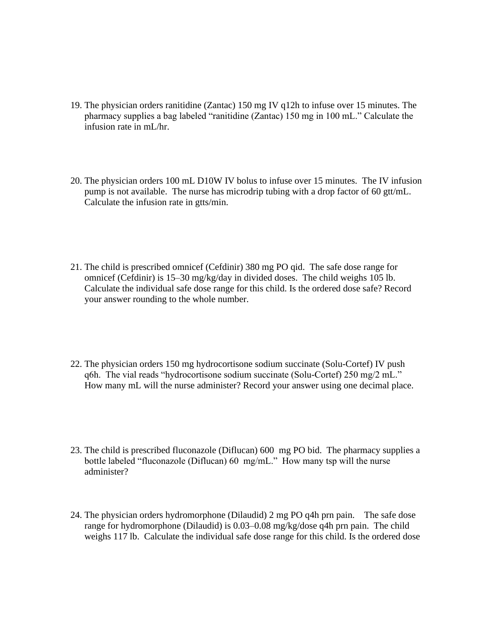- 19. The physician orders ranitidine (Zantac) 150 mg IV q12h to infuse over 15 minutes. The pharmacy supplies a bag labeled "ranitidine (Zantac) 150 mg in 100 mL." Calculate the infusion rate in mL/hr.
- 20. The physician orders 100 mL D10W IV bolus to infuse over 15 minutes. The IV infusion pump is not available. The nurse has microdrip tubing with a drop factor of 60 gtt/mL. Calculate the infusion rate in gtts/min.
- 21. The child is prescribed omnicef (Cefdinir) 380 mg PO qid. The safe dose range for omnicef (Cefdinir) is 15–30 mg/kg/day in divided doses. The child weighs 105 lb. Calculate the individual safe dose range for this child. Is the ordered dose safe? Record your answer rounding to the whole number.
- 22. The physician orders 150 mg hydrocortisone sodium succinate (Solu-Cortef) IV push q6h. The vial reads "hydrocortisone sodium succinate (Solu-Cortef) 250 mg/2 mL." How many mL will the nurse administer? Record your answer using one decimal place.
- 23. The child is prescribed fluconazole (Diflucan) 600 mg PO bid. The pharmacy supplies a bottle labeled "fluconazole (Diflucan) 60 mg/mL." How many tsp will the nurse administer?
- 24. The physician orders hydromorphone (Dilaudid) 2 mg PO q4h prn pain. The safe dose range for hydromorphone (Dilaudid) is 0.03–0.08 mg/kg/dose q4h prn pain. The child weighs 117 lb. Calculate the individual safe dose range for this child. Is the ordered dose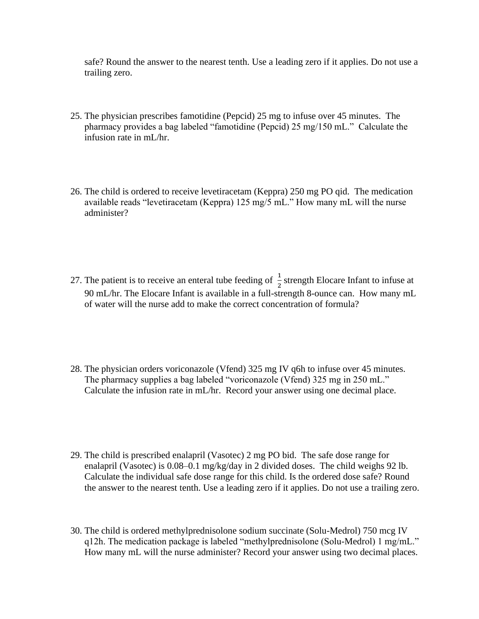safe? Round the answer to the nearest tenth. Use a leading zero if it applies. Do not use a trailing zero.

- 25. The physician prescribes famotidine (Pepcid) 25 mg to infuse over 45 minutes. The pharmacy provides a bag labeled "famotidine (Pepcid) 25 mg/150 mL." Calculate the infusion rate in mL/hr.
- 26. The child is ordered to receive levetiracetam (Keppra) 250 mg PO qid. The medication available reads "levetiracetam (Keppra) 125 mg/5 mL." How many mL will the nurse administer?
- 27. The patient is to receive an enteral tube feeding of  $\frac{1}{2}$  strength Elocare Infant to infuse at 90 mL/hr. The Elocare Infant is available in a full-strength 8-ounce can. How many mL of water will the nurse add to make the correct concentration of formula?
- 28. The physician orders voriconazole (Vfend) 325 mg IV q6h to infuse over 45 minutes. The pharmacy supplies a bag labeled "voriconazole (Vfend) 325 mg in 250 mL." Calculate the infusion rate in mL/hr. Record your answer using one decimal place.
- 29. The child is prescribed enalapril (Vasotec) 2 mg PO bid. The safe dose range for enalapril (Vasotec) is 0.08–0.1 mg/kg/day in 2 divided doses. The child weighs 92 lb. Calculate the individual safe dose range for this child. Is the ordered dose safe? Round the answer to the nearest tenth. Use a leading zero if it applies. Do not use a trailing zero.
- 30. The child is ordered methylprednisolone sodium succinate (Solu-Medrol) 750 mcg IV q12h. The medication package is labeled "methylprednisolone (Solu-Medrol) 1 mg/mL." How many mL will the nurse administer? Record your answer using two decimal places.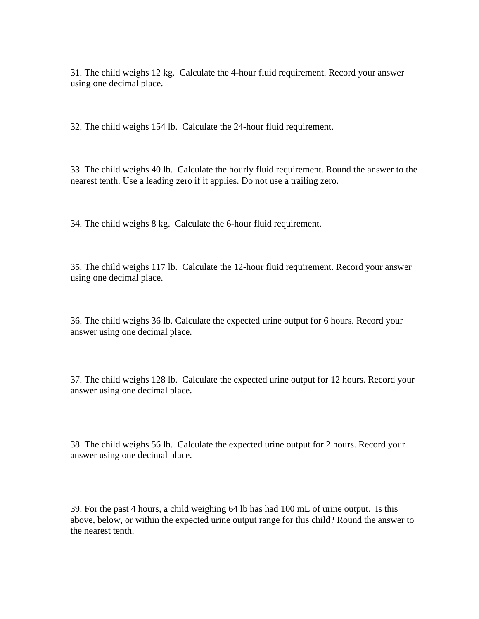31. The child weighs 12 kg. Calculate the 4-hour fluid requirement. Record your answer using one decimal place.

32. The child weighs 154 lb. Calculate the 24-hour fluid requirement.

33. The child weighs 40 lb. Calculate the hourly fluid requirement. Round the answer to the nearest tenth. Use a leading zero if it applies. Do not use a trailing zero.

34. The child weighs 8 kg. Calculate the 6-hour fluid requirement.

35. The child weighs 117 lb. Calculate the 12-hour fluid requirement. Record your answer using one decimal place.

36. The child weighs 36 lb. Calculate the expected urine output for 6 hours. Record your answer using one decimal place.

37. The child weighs 128 lb. Calculate the expected urine output for 12 hours. Record your answer using one decimal place.

38. The child weighs 56 lb. Calculate the expected urine output for 2 hours. Record your answer using one decimal place.

39. For the past 4 hours, a child weighing 64 lb has had 100 mL of urine output. Is this above, below, or within the expected urine output range for this child? Round the answer to the nearest tenth.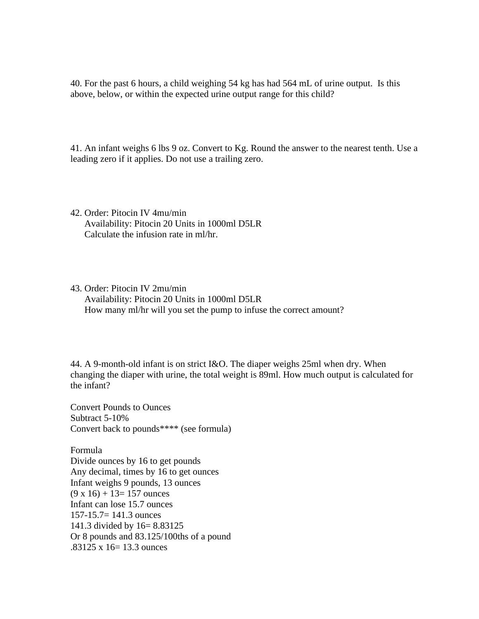40. For the past 6 hours, a child weighing 54 kg has had 564 mL of urine output. Is this above, below, or within the expected urine output range for this child?

41. An infant weighs 6 lbs 9 oz. Convert to Kg. Round the answer to the nearest tenth. Use a leading zero if it applies. Do not use a trailing zero.

- 42. Order: Pitocin IV 4mu/min Availability: Pitocin 20 Units in 1000ml D5LR Calculate the infusion rate in ml/hr.
- 43. Order: Pitocin IV 2mu/min Availability: Pitocin 20 Units in 1000ml D5LR How many ml/hr will you set the pump to infuse the correct amount?

44. A 9-month-old infant is on strict I&O. The diaper weighs 25ml when dry. When changing the diaper with urine, the total weight is 89ml. How much output is calculated for the infant?

Convert Pounds to Ounces Subtract 5-10% Convert back to pounds\*\*\*\* (see formula)

Formula Divide ounces by 16 to get pounds Any decimal, times by 16 to get ounces Infant weighs 9 pounds, 13 ounces  $(9 \times 16) + 13 = 157$  ounces Infant can lose 15.7 ounces 157-15.7= 141.3 ounces 141.3 divided by 16= 8.83125 Or 8 pounds and 83.125/100ths of a pound  $.83125 \times 16 = 13.3$  ounces